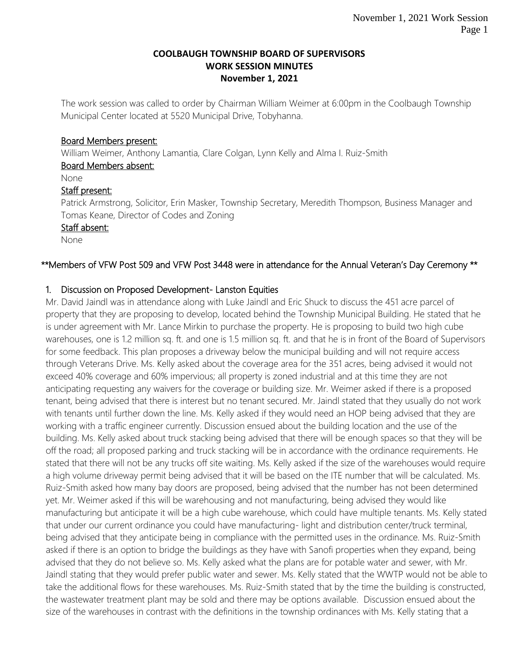#### **COOLBAUGH TOWNSHIP BOARD OF SUPERVISORS WORK SESSION MINUTES November 1, 2021**

The work session was called to order by Chairman William Weimer at 6:00pm in the Coolbaugh Township Municipal Center located at 5520 Municipal Drive, Tobyhanna.

#### Board Members present:

William Weimer, Anthony Lamantia, Clare Colgan, Lynn Kelly and Alma I. Ruiz-Smith

# Board Members absent:

None

## Staff present:

Patrick Armstrong, Solicitor, Erin Masker, Township Secretary, Meredith Thompson, Business Manager and Tomas Keane, Director of Codes and Zoning

## Staff absent:

None

# \*\*Members of VFW Post 509 and VFW Post 3448 were in attendance for the Annual Veteran's Day Ceremony \*\*

# 1. Discussion on Proposed Development- Lanston Equities

Mr. David Jaindl was in attendance along with Luke Jaindl and Eric Shuck to discuss the 451 acre parcel of property that they are proposing to develop, located behind the Township Municipal Building. He stated that he is under agreement with Mr. Lance Mirkin to purchase the property. He is proposing to build two high cube warehouses, one is 1.2 million sq. ft. and one is 1.5 million sq. ft. and that he is in front of the Board of Supervisors for some feedback. This plan proposes a driveway below the municipal building and will not require access through Veterans Drive. Ms. Kelly asked about the coverage area for the 351 acres, being advised it would not exceed 40% coverage and 60% impervious; all property is zoned industrial and at this time they are not anticipating requesting any waivers for the coverage or building size. Mr. Weimer asked if there is a proposed tenant, being advised that there is interest but no tenant secured. Mr. Jaindl stated that they usually do not work with tenants until further down the line. Ms. Kelly asked if they would need an HOP being advised that they are working with a traffic engineer currently. Discussion ensued about the building location and the use of the building. Ms. Kelly asked about truck stacking being advised that there will be enough spaces so that they will be off the road; all proposed parking and truck stacking will be in accordance with the ordinance requirements. He stated that there will not be any trucks off site waiting. Ms. Kelly asked if the size of the warehouses would require a high volume driveway permit being advised that it will be based on the ITE number that will be calculated. Ms. Ruiz-Smith asked how many bay doors are proposed, being advised that the number has not been determined yet. Mr. Weimer asked if this will be warehousing and not manufacturing, being advised they would like manufacturing but anticipate it will be a high cube warehouse, which could have multiple tenants. Ms. Kelly stated that under our current ordinance you could have manufacturing- light and distribution center/truck terminal, being advised that they anticipate being in compliance with the permitted uses in the ordinance. Ms. Ruiz-Smith asked if there is an option to bridge the buildings as they have with Sanofi properties when they expand, being advised that they do not believe so. Ms. Kelly asked what the plans are for potable water and sewer, with Mr. Jaindl stating that they would prefer public water and sewer. Ms. Kelly stated that the WWTP would not be able to take the additional flows for these warehouses. Ms. Ruiz-Smith stated that by the time the building is constructed, the wastewater treatment plant may be sold and there may be options available. Discussion ensued about the size of the warehouses in contrast with the definitions in the township ordinances with Ms. Kelly stating that a